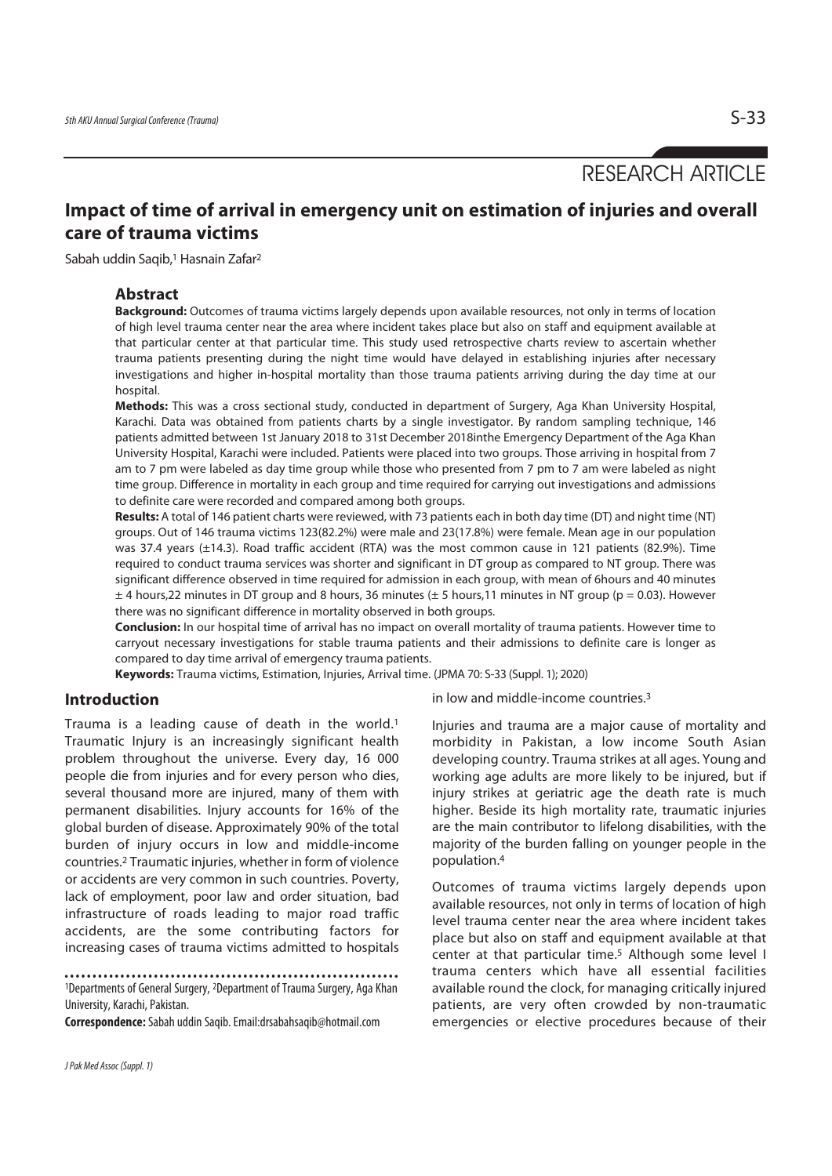# RESEARCH ARTICLE

## **Impact of time of arrival in emergency unit on estimation of injuries and overall care of trauma victims**

Sabah uddin Saqib,1 Hasnain Zafar2

#### **Abstract**

**Background:** Outcomes of trauma victims largely depends upon available resources, not only in terms of location of high level trauma center near the area where incident takes place but also on staff and equipment available at that particular center at that particular time. This study used retrospective charts review to ascertain whether trauma patients presenting during the night time would have delayed in establishing injuries after necessary investigations and higher in-hospital mortality than those trauma patients arriving during the day time at our hospital.

**Methods:** This was a cross sectional study, conducted in department of Surgery, Aga Khan University Hospital, Karachi. Data was obtained from patients charts by a single investigator. By random sampling technique, 146 patients admitted between 1st January 2018 to 31st December 2018inthe Emergency Department of the Aga Khan University Hospital, Karachi were included. Patients were placed into two groups. Those arriving in hospital from 7 am to 7 pm were labeled as day time group while those who presented from 7 pm to 7 am were labeled as night time group. Difference in mortality in each group and time required for carrying out investigations and admissions to definite care were recorded and compared among both groups.

**Results:** A total of 146 patient charts were reviewed, with 73 patients each in both day time (DT) and night time (NT) groups. Out of 146 trauma victims 123(82.2%) were male and 23(17.8%) were female. Mean age in our population was 37.4 years (±14.3). Road traffic accident (RTA) was the most common cause in 121 patients (82.9%). Time required to conduct trauma services was shorter and significant in DT group as compared to NT group. There was significant difference observed in time required for admission in each group, with mean of 6hours and 40 minutes  $\pm$  4 hours, 22 minutes in DT group and 8 hours, 36 minutes ( $\pm$  5 hours, 11 minutes in NT group (p = 0.03). However there was no significant difference in mortality observed in both groups.

**Conclusion:** In our hospital time of arrival has no impact on overall mortality of trauma patients. However time to carryout necessary investigations for stable trauma patients and their admissions to definite care is longer as compared to day time arrival of emergency trauma patients.

**Keywords:** Trauma victims, Estimation, Injuries, Arrival time. (JPMA 70: S-33 (Suppl. 1); 2020)

### **Introduction**

Trauma is a leading cause of death in the world.1 Traumatic Injury is an increasingly significant health problem throughout the universe. Every day, 16 000 people die from injuries and for every person who dies, several thousand more are injured, many of them with permanent disabilities. Injury accounts for 16% of the global burden of disease. Approximately 90% of the total burden of injury occurs in low and middle-income countries.2 Traumatic injuries, whether in form of violence or accidents are very common in such countries. Poverty, lack of employment, poor law and order situation, bad infrastructure of roads leading to major road traffic accidents, are the some contributing factors for increasing cases of trauma victims admitted to hospitals

1Departments of General Surgery, 2Department of Trauma Surgery, Aga Khan University, Karachi, Pakistan.

**Correspondence:** Sabah uddin Saqib. Email:drsabahsaqib@hotmail.com

in low and middle-income countries.3

Injuries and trauma are a major cause of mortality and morbidity in Pakistan, a low income South Asian developing country. Trauma strikes at all ages. Young and working age adults are more likely to be injured, but if injury strikes at geriatric age the death rate is much higher. Beside its high mortality rate, traumatic injuries are the main contributor to lifelong disabilities, with the majority of the burden falling on younger people in the population.4

Outcomes of trauma victims largely depends upon available resources, not only in terms of location of high level trauma center near the area where incident takes place but also on staff and equipment available at that center at that particular time.5 Although some level I trauma centers which have all essential facilities available round the clock, for managing critically injured patients, are very often crowded by non-traumatic emergencies or elective procedures because of their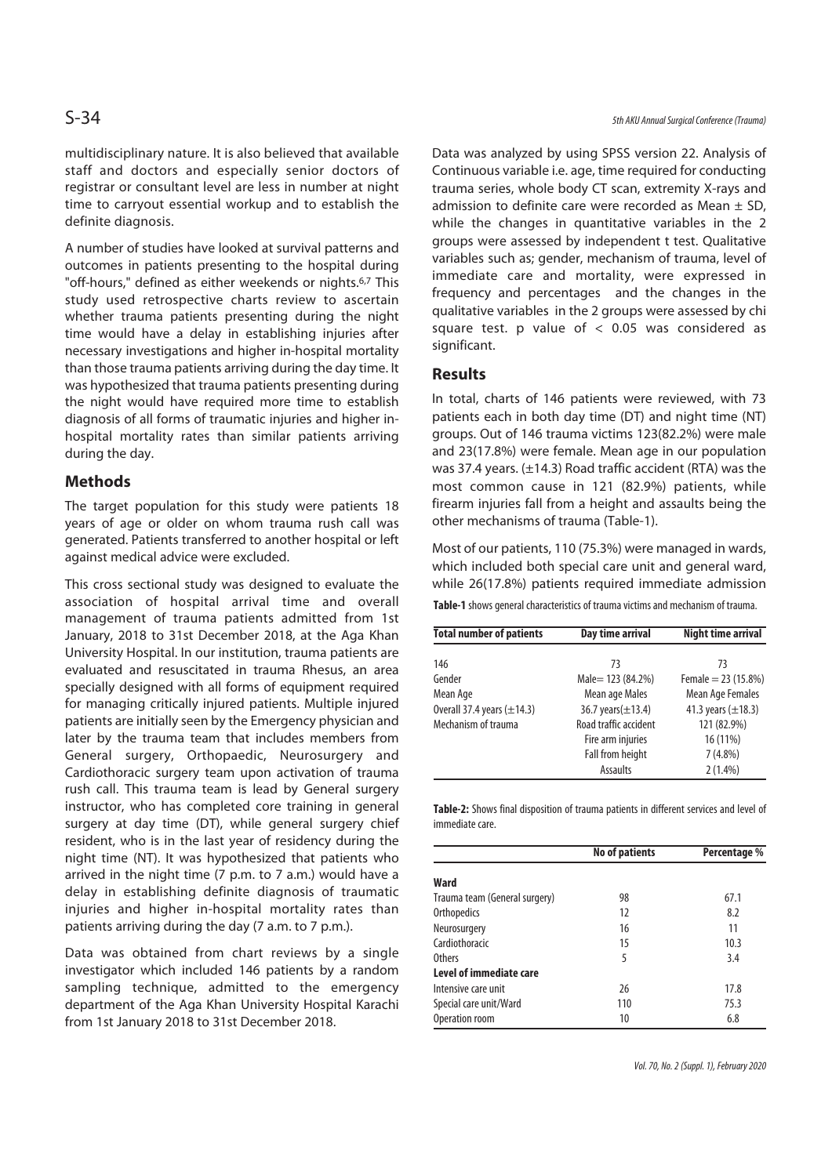multidisciplinary nature. It is also believed that available staff and doctors and especially senior doctors of registrar or consultant level are less in number at night time to carryout essential workup and to establish the definite diagnosis.

A number of studies have looked at survival patterns and outcomes in patients presenting to the hospital during "off-hours," defined as either weekends or nights.6,7 This study used retrospective charts review to ascertain whether trauma patients presenting during the night time would have a delay in establishing injuries after necessary investigations and higher in-hospital mortality than those trauma patients arriving during the day time. It was hypothesized that trauma patients presenting during the night would have required more time to establish diagnosis of all forms of traumatic injuries and higher inhospital mortality rates than similar patients arriving during the day.

### **Methods**

The target population for this study were patients 18 years of age or older on whom trauma rush call was generated. Patients transferred to another hospital or left against medical advice were excluded.

This cross sectional study was designed to evaluate the association of hospital arrival time and overall management of trauma patients admitted from 1st January, 2018 to 31st December 2018, at the Aga Khan University Hospital. In our institution, trauma patients are evaluated and resuscitated in trauma Rhesus, an area specially designed with all forms of equipment required for managing critically injured patients. Multiple injured patients are initially seen by the Emergency physician and later by the trauma team that includes members from General surgery, Orthopaedic, Neurosurgery and Cardiothoracic surgery team upon activation of trauma rush call. This trauma team is lead by General surgery instructor, who has completed core training in general surgery at day time (DT), while general surgery chief resident, who is in the last year of residency during the night time (NT). It was hypothesized that patients who arrived in the night time (7 p.m. to 7 a.m.) would have a delay in establishing definite diagnosis of traumatic injuries and higher in-hospital mortality rates than patients arriving during the day (7 a.m. to 7 p.m.).

Data was obtained from chart reviews by a single investigator which included 146 patients by a random sampling technique, admitted to the emergency department of the Aga Khan University Hospital Karachi from 1st January 2018 to 31st December 2018.

Data was analyzed by using SPSS version 22. Analysis of Continuous variable i.e. age, time required for conducting trauma series, whole body CT scan, extremity X-rays and admission to definite care were recorded as Mean  $\pm$  SD, while the changes in quantitative variables in the 2 groups were assessed by independent t test. Qualitative variables such as; gender, mechanism of trauma, level of immediate care and mortality, were expressed in frequency and percentages and the changes in the qualitative variables in the 2 groups were assessed by chi square test. p value of  $<$  0.05 was considered as significant.

#### **Results**

In total, charts of 146 patients were reviewed, with 73 patients each in both day time (DT) and night time (NT) groups. Out of 146 trauma victims 123(82.2%) were male and 23(17.8%) were female. Mean age in our population was 37.4 years. (±14.3) Road traffic accident (RTA) was the most common cause in 121 (82.9%) patients, while firearm injuries fall from a height and assaults being the other mechanisms of trauma (Table-1).

Most of our patients, 110 (75.3%) were managed in wards, which included both special care unit and general ward, while 26(17.8%) patients required immediate admission

**Table-1** shows general characteristics of trauma victims and mechanism of trauma.

| <b>Total number of patients</b> | Day time arrival        | <b>Night time arrival</b> |  |
|---------------------------------|-------------------------|---------------------------|--|
|                                 | 73                      |                           |  |
| 146                             |                         | 73                        |  |
| Gender                          | Male = 123 (84.2%)      | Female = $23(15.8%)$      |  |
| Mean Age                        | Mean age Males          | Mean Age Females          |  |
| Overall 37.4 years $(\pm 14.3)$ | 36.7 years $(\pm 13.4)$ | 41.3 years $(\pm 18.3)$   |  |
| Mechanism of trauma             | Road traffic accident   | 121 (82.9%)               |  |
|                                 | Fire arm injuries       | 16 (11%)                  |  |
|                                 | Fall from height        | $7(4.8\%)$                |  |
|                                 | Assaults                | $2(1.4\%)$                |  |

**Table-2:** Shows final disposition of trauma patients in different services and level of immediate care.

|                               | No of patients | Percentage % |  |
|-------------------------------|----------------|--------------|--|
| Ward                          |                |              |  |
| Trauma team (General surgery) | 98             | 67.1         |  |
| Orthopedics                   | 12             | 8.2          |  |
| Neurosurgery                  | 16             | 11           |  |
| Cardiothoracic                | 15             | 10.3         |  |
| Others                        | 5              | 3.4          |  |
| Level of immediate care       |                |              |  |
| Intensive care unit           | 26             | 17.8         |  |
| Special care unit/Ward        | 110            | 75.3         |  |
| Operation room                | 10             | 6.8          |  |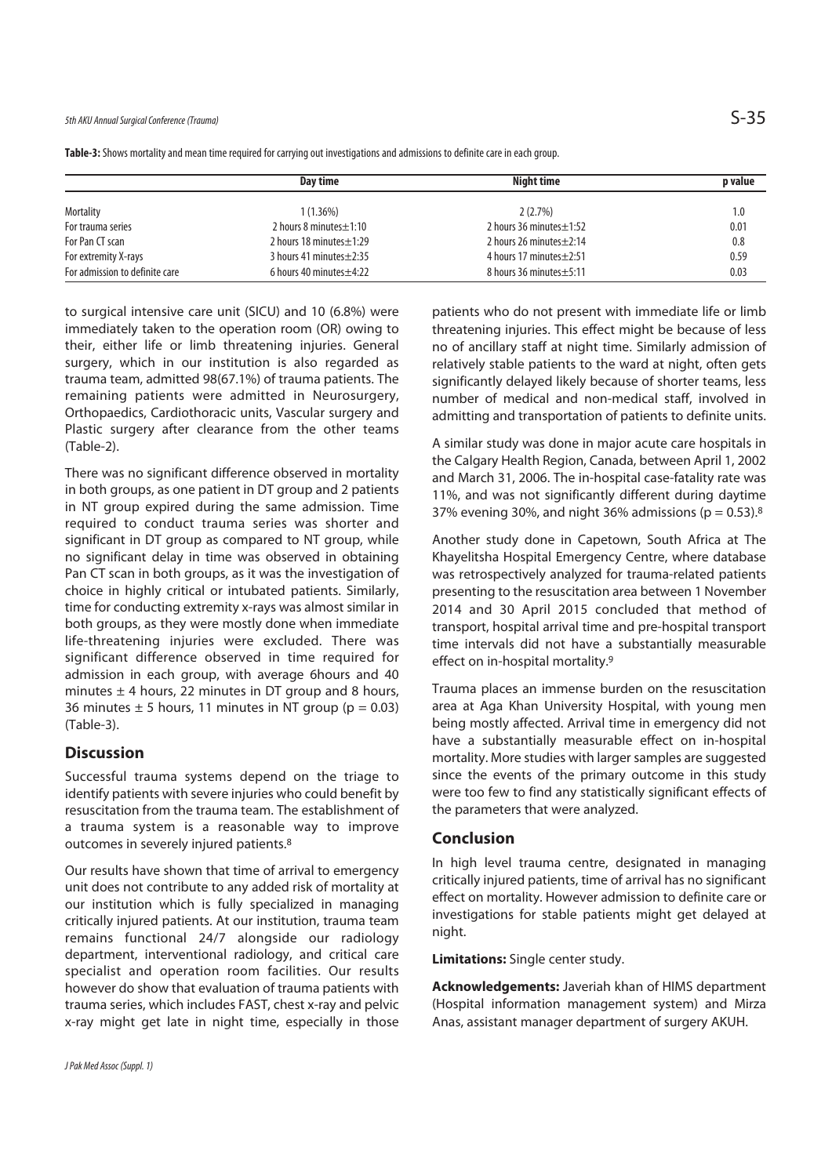|                                | Dav time                      | Night time                    | p value |
|--------------------------------|-------------------------------|-------------------------------|---------|
| Mortality                      | $1(1.36\%)$                   | 2(2.7%)                       | 1.0     |
| For trauma series              | 2 hours 8 minutes $\pm$ 1:10  | 2 hours 36 minutes $\pm$ 1:52 | 0.01    |
| For Pan CT scan                | 2 hours 18 minutes $\pm$ 1:29 | 2 hours 26 minutes $\pm$ 2:14 | 0.8     |
| For extremity X-rays           | 3 hours 41 minutes $\pm$ 2:35 | 4 hours 17 minutes $\pm$ 2:51 | 0.59    |
| For admission to definite care | 6 hours 40 minutes $\pm$ 4:22 | 8 hours 36 minutes ± 5:11     | 0.03    |

**Table-3:** Shows mortality and mean time required for carrying out investigations and admissions to definite care in each group.

to surgical intensive care unit (SICU) and 10 (6.8%) were immediately taken to the operation room (OR) owing to their, either life or limb threatening injuries. General surgery, which in our institution is also regarded as trauma team, admitted 98(67.1%) of trauma patients. The remaining patients were admitted in Neurosurgery, Orthopaedics, Cardiothoracic units, Vascular surgery and Plastic surgery after clearance from the other teams (Table-2).

There was no significant difference observed in mortality in both groups, as one patient in DT group and 2 patients in NT group expired during the same admission. Time required to conduct trauma series was shorter and significant in DT group as compared to NT group, while no significant delay in time was observed in obtaining Pan CT scan in both groups, as it was the investigation of choice in highly critical or intubated patients. Similarly, time for conducting extremity x-rays was almost similar in both groups, as they were mostly done when immediate life-threatening injuries were excluded. There was significant difference observed in time required for admission in each group, with average 6hours and 40 minutes  $\pm$  4 hours, 22 minutes in DT group and 8 hours, 36 minutes  $\pm$  5 hours, 11 minutes in NT group ( $p = 0.03$ ) (Table-3).

## **Discussion**

Successful trauma systems depend on the triage to identify patients with severe injuries who could benefit by resuscitation from the trauma team. The establishment of a trauma system is a reasonable way to improve outcomes in severely injured patients.8

Our results have shown that time of arrival to emergency unit does not contribute to any added risk of mortality at our institution which is fully specialized in managing critically injured patients. At our institution, trauma team remains functional 24/7 alongside our radiology department, interventional radiology, and critical care specialist and operation room facilities. Our results however do show that evaluation of trauma patients with trauma series, which includes FAST, chest x-ray and pelvic x-ray might get late in night time, especially in those patients who do not present with immediate life or limb threatening injuries. This effect might be because of less no of ancillary staff at night time. Similarly admission of relatively stable patients to the ward at night, often gets significantly delayed likely because of shorter teams, less number of medical and non-medical staff, involved in admitting and transportation of patients to definite units.

A similar study was done in major acute care hospitals in the Calgary Health Region, Canada, between April 1, 2002 and March 31, 2006. The in-hospital case-fatality rate was 11%, and was not significantly different during daytime 37% evening 30%, and night 36% admissions ( $p = 0.53$ ).<sup>8</sup>

Another study done in Capetown, South Africa at The Khayelitsha Hospital Emergency Centre, where database was retrospectively analyzed for trauma-related patients presenting to the resuscitation area between 1 November 2014 and 30 April 2015 concluded that method of transport, hospital arrival time and pre-hospital transport time intervals did not have a substantially measurable effect on in-hospital mortality.9

Trauma places an immense burden on the resuscitation area at Aga Khan University Hospital, with young men being mostly affected. Arrival time in emergency did not have a substantially measurable effect on in-hospital mortality. More studies with larger samples are suggested since the events of the primary outcome in this study were too few to find any statistically significant effects of the parameters that were analyzed.

### **Conclusion**

In high level trauma centre, designated in managing critically injured patients, time of arrival has no significant effect on mortality. However admission to definite care or investigations for stable patients might get delayed at night.

**Limitations:** Single center study.

**Acknowledgements:** Javeriah khan of HIMS department (Hospital information management system) and Mirza Anas, assistant manager department of surgery AKUH.